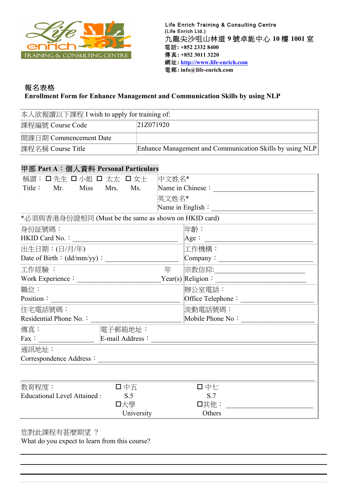

## 報名表格  **Enrollment Form for Enhance Management and Communication Skills by using NLP**

| 本人欲報讀以下課程 I wish to apply for training of: |                                                          |  |
|--------------------------------------------|----------------------------------------------------------|--|
| 課程編號 Course Code<br>21Z071920              |                                                          |  |
| 開課日期 Commencement Date                     |                                                          |  |
| 課程名稱 Course Title                          | Enhance Management and Communication Skills by using NLP |  |

# 甲部 **Part A**:個人資料 **Personal Particulars**

| 稱謂:口先生 口小姐 口 太太 口女士                                  |                                                   | 中文姓名* |                                    |
|------------------------------------------------------|---------------------------------------------------|-------|------------------------------------|
| Title : Mr. Miss Mrs.                                | Ms.                                               |       | Name in Chinese :                  |
|                                                      |                                                   | 英文姓名* |                                    |
|                                                      |                                                   |       |                                    |
| *必須與香港身份證相同 (Must be the same as shown on HKID card) |                                                   |       |                                    |
| 身份証號碼:                                               |                                                   |       | 年齡:                                |
| HKID Card No.:                                       | <u> 1989 - Johann Barnett, fransk politiker (</u> |       | Age:                               |
| 出生日期:(日/月/年)                                         |                                                   |       | 工作機構:                              |
| Date of Birth: $(dd/mm/yy)$ :                        |                                                   |       |                                    |
| 工作經驗:                                                |                                                   | 年     | 宗教信仰:_____________________________ |
| Work Experience :                                    |                                                   |       |                                    |
| 職位:                                                  |                                                   |       | 辦公室電話:                             |
| Position:                                            |                                                   |       | Office Telephone:                  |
| 住宅電話號碼:                                              |                                                   |       | 流動電話號碼:                            |
| Residential Phone No. :                              |                                                   |       | Mobile Phone No:                   |
| 傳真:                                                  | 電子郵箱地址:                                           |       |                                    |
| Fax:                                                 | E-mail Address:                                   |       |                                    |
| 通訊地址:                                                |                                                   |       |                                    |
| Correspondence Address:                              |                                                   |       |                                    |
|                                                      |                                                   |       |                                    |
|                                                      |                                                   |       |                                    |
|                                                      |                                                   |       |                                    |
|                                                      |                                                   |       |                                    |
|                                                      |                                                   |       |                                    |
| 教育程度:<br><b>Educational Level Attained:</b>          | 口中五<br>S.5<br>口大學<br>University                   |       | 口中七<br>S.7<br>口其他:<br>Others       |

您對此課程有甚麼期望 ?

What do you expect to learn from this course?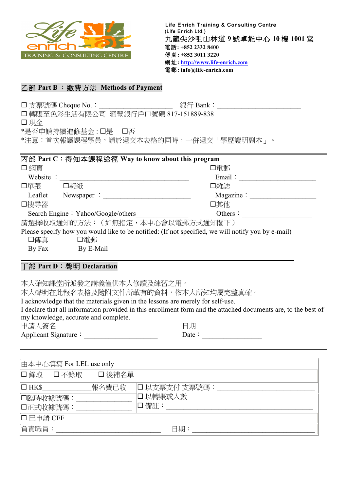

### 乙部 **Part B** :繳費方法 **Methods of Payment**

¨ 支票號碼 Cheque No.:\_\_\_\_\_\_\_\_\_\_\_\_\_\_\_\_\_\_\_\_\_ 銀行 Bank:\_\_\_\_\_\_\_\_\_\_\_\_\_\_\_\_\_\_\_\_\_\_\_\_ □ 轉賬至色彩生活有限公司 滙豐銀行戶口號碼 817-151889-838 □ 現金

\*是否申請持續進修基金: □是 □否

\*注意:首次報讀課程學員,請於遞交本表格的同時,一併遞交「學歷證明副本」。

| 丙部 Part C:得知本課程途徑 Way to know about this program |                    |                                                                                                    |
|--------------------------------------------------|--------------------|----------------------------------------------------------------------------------------------------|
| 口網頁                                              |                    | 口電郵                                                                                                |
| Website :                                        |                    | Email:                                                                                             |
| 口單張                                              | 口報紙                | 口雜誌                                                                                                |
| Leaflet                                          | Newspaper $\colon$ | Magazine:                                                                                          |
| 口搜尋器                                             |                    | 口其他                                                                                                |
| Search Engine: Yahoo/Google/others<br>Others:    |                    |                                                                                                    |
|                                                  |                    | 請選擇收取通知的方法: (如無指定,本中心會以電郵方式通知閣下)                                                                   |
|                                                  |                    | Please specify how you would like to be notified: (If not specified, we will notify you by e-mail) |
| 口傳真                                              | 口電郵                |                                                                                                    |
| By Fax                                           | By E-Mail          |                                                                                                    |
|                                                  |                    |                                                                                                    |

#### 丁部 **Part D**:聲明 **Declaration**

本人確知課堂所派發之講義僅供本人修讀及練習之用。

本人聲明在此報名表格及隨附文件所載有的資料,依本人所知均屬完整真確。

I acknowledge that the materials given in the lessons are merely for self-use.

I declare that all information provided in this enrollment form and the attached documents are, to the best of my knowledge, accurate and complete.

| 申請人簽名 | 日期 |
|-------|----|
|-------|----|

| Applicant Signature: | Date |  |
|----------------------|------|--|
|                      |      |  |

| ю<br>۰ |  |
|--------|--|

| 由本中心填寫 For LEL use only |               |
|-------------------------|---------------|
| □ 錄取 □ 不錄取 □ 後補名單       |               |
| $\Box$ HK\$<br>報名費已收    | 口 以支票支付 支票號碼: |
| 口臨時收據號碼:                | □ 以轉賬或入數      |
| 口正式收據號碼:                | 口備註:          |
| 口已申請 CEF                |               |
| 負責職員:                   | 日期:           |